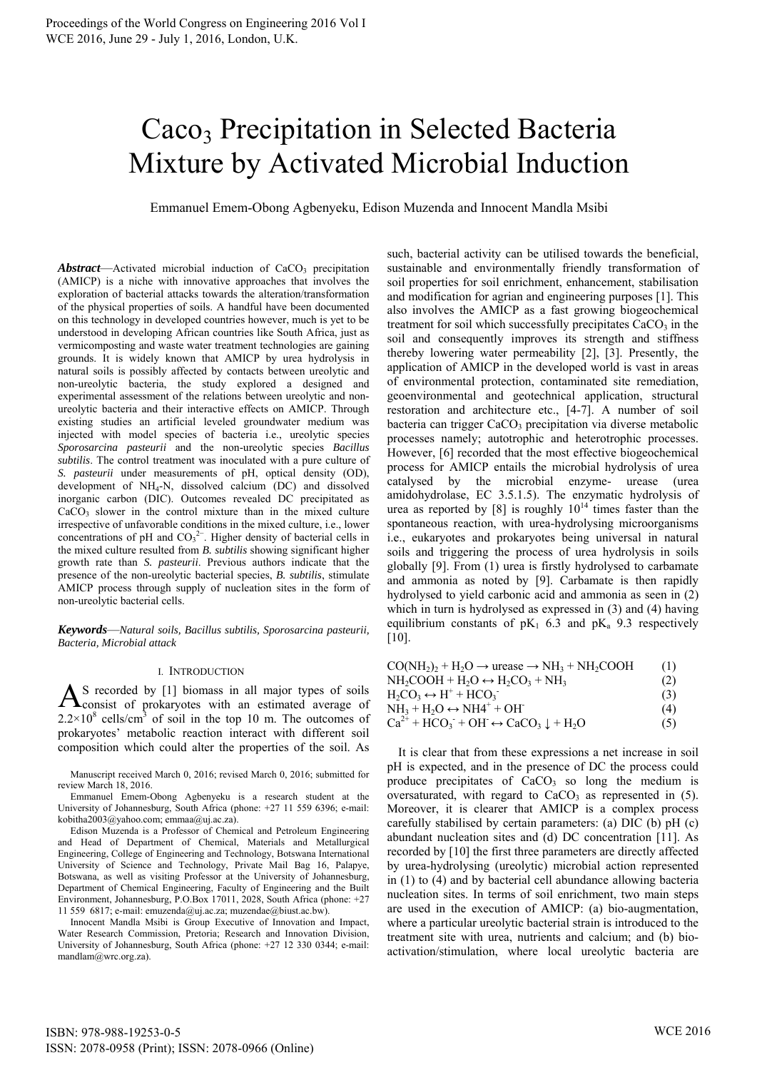# Caco<sub>3</sub> Precipitation in Selected Bacteria Mixture by Activated Microbial Induction

Emmanuel Emem-Obong Agbenyeku, Edison Muzenda and Innocent Mandla Msibi

Abstract—Activated microbial induction of CaCO<sub>3</sub> precipitation (AMICP) is a niche with innovative approaches that involves the exploration of bacterial attacks towards the alteration/transformation of the physical properties of soils. A handful have been documented on this technology in developed countries however, much is yet to be understood in developing African countries like South Africa, just as vermicomposting and waste water treatment technologies are gaining grounds. It is widely known that AMICP by urea hydrolysis in natural soils is possibly affected by contacts between ureolytic and non-ureolytic bacteria, the study explored a designed and experimental assessment of the relations between ureolytic and nonureolytic bacteria and their interactive effects on AMICP. Through existing studies an artificial leveled groundwater medium was injected with model species of bacteria i.e., ureolytic species *Sporosarcina pasteurii* and the non-ureolytic species *Bacillus subtilis*. The control treatment was inoculated with a pure culture of *S. pasteurii* under measurements of pH, optical density (OD), development of NH4-N, dissolved calcium (DC) and dissolved inorganic carbon (DIC). Outcomes revealed DC precipitated as CaCO<sub>3</sub> slower in the control mixture than in the mixed culture irrespective of unfavorable conditions in the mixed culture, i.e., lower concentrations of pH and  $CO<sub>3</sub><sup>2</sup>$ . Higher density of bacterial cells in the mixed culture resulted from *B. subtilis* showing significant higher growth rate than *S. pasteurii*. Previous authors indicate that the presence of the non-ureolytic bacterial species, *B. subtilis*, stimulate AMICP process through supply of nucleation sites in the form of non-ureolytic bacterial cells.

*Keywords*—*Natural soils, Bacillus subtilis, Sporosarcina pasteurii, Bacteria, Microbial attack*

## I. INTRODUCTION

S recorded by [1] biomass in all major types of soils  $A$ <sup>S</sup> recorded by [1] biomass in all major types of soils consist of prokaryotes with an estimated average of  $2.2 \times 10^8$  cells/cm<sup>3</sup> of soil in the top 10 m. The outcomes of prokaryotes' metabolic reaction interact with different soil composition which could alter the properties of the soil. As

Manuscript received March 0, 2016; revised March 0, 2016; submitted for review March 18, 2016.

Emmanuel Emem-Obong Agbenyeku is a research student at the University of Johannesburg, South Africa (phone: +27 11 559 6396; e-mail: kobitha2003@yahoo.com; emmaa@uj.ac.za).

Edison Muzenda is a Professor of Chemical and Petroleum Engineering and Head of Department of Chemical, Materials and Metallurgical Engineering, College of Engineering and Technology, Botswana International University of Science and Technology, Private Mail Bag 16, Palapye, Botswana, as well as visiting Professor at the University of Johannesburg, Department of Chemical Engineering, Faculty of Engineering and the Built Environment, Johannesburg, P.O.Box 17011, 2028, South Africa (phone: +27 11 559 6817; e-mail: emuzenda@uj.ac.za; muzendae@biust.ac.bw).

Innocent Mandla Msibi is Group Executive of Innovation and Impact, Water Research Commission, Pretoria; Research and Innovation Division, University of Johannesburg, South Africa (phone: +27 12 330 0344; e-mail: mandlam@wrc.org.za).

such, bacterial activity can be utilised towards the beneficial, sustainable and environmentally friendly transformation of soil properties for soil enrichment, enhancement, stabilisation and modification for agrian and engineering purposes [1]. This also involves the AMICP as a fast growing biogeochemical treatment for soil which successfully precipitates  $CaCO<sub>3</sub>$  in the soil and consequently improves its strength and stiffness thereby lowering water permeability [2], [3]. Presently, the application of AMICP in the developed world is vast in areas of environmental protection, contaminated site remediation, geoenvironmental and geotechnical application, structural restoration and architecture etc., [4-7]. A number of soil bacteria can trigger  $CaCO<sub>3</sub>$  precipitation via diverse metabolic processes namely; autotrophic and heterotrophic processes. However, [6] recorded that the most effective biogeochemical process for AMICP entails the microbial hydrolysis of urea catalysed by the microbial enzyme- urease (urea amidohydrolase, EC 3.5.1.5). The enzymatic hydrolysis of urea as reported by [8] is roughly  $10^{14}$  times faster than the spontaneous reaction, with urea-hydrolysing microorganisms i.e., eukaryotes and prokaryotes being universal in natural soils and triggering the process of urea hydrolysis in soils globally [9]. From (1) urea is firstly hydrolysed to carbamate and ammonia as noted by [9]. Carbamate is then rapidly hydrolysed to yield carbonic acid and ammonia as seen in (2) which in turn is hydrolysed as expressed in (3) and (4) having equilibrium constants of  $pK_1$  6.3 and  $pK_a$  9.3 respectively [10].

| $CO(NH_2)$ , + H <sub>2</sub> O $\rightarrow$ urease $\rightarrow$ NH <sub>3</sub> + NH <sub>2</sub> COOH | (1) |
|-----------------------------------------------------------------------------------------------------------|-----|
| $NH_2COOH + H_2O \leftrightarrow H_2CO_3 + NH_3$                                                          | (2) |
| $H_2CO_3 \leftrightarrow H^+ + HCO_3$                                                                     | (3) |
| $NH_3 + H_2O \leftrightarrow NH4^+ + OH^-$                                                                | (4) |
| $Ca^{2+} + HCO_3 + OH \leftrightarrow CaCO_3 \downarrow + H_2O$                                           | (5) |

It is clear that from these expressions a net increase in soil pH is expected, and in the presence of DC the process could produce precipitates of  $CaCO<sub>3</sub>$  so long the medium is oversaturated, with regard to  $CaCO<sub>3</sub>$  as represented in (5). Moreover, it is clearer that AMICP is a complex process carefully stabilised by certain parameters: (a) DIC (b) pH (c) abundant nucleation sites and (d) DC concentration [11]. As recorded by [10] the first three parameters are directly affected by urea-hydrolysing (ureolytic) microbial action represented in (1) to (4) and by bacterial cell abundance allowing bacteria nucleation sites. In terms of soil enrichment, two main steps are used in the execution of AMICP: (a) bio-augmentation, where a particular ureolytic bacterial strain is introduced to the treatment site with urea, nutrients and calcium; and (b) bioactivation/stimulation, where local ureolytic bacteria are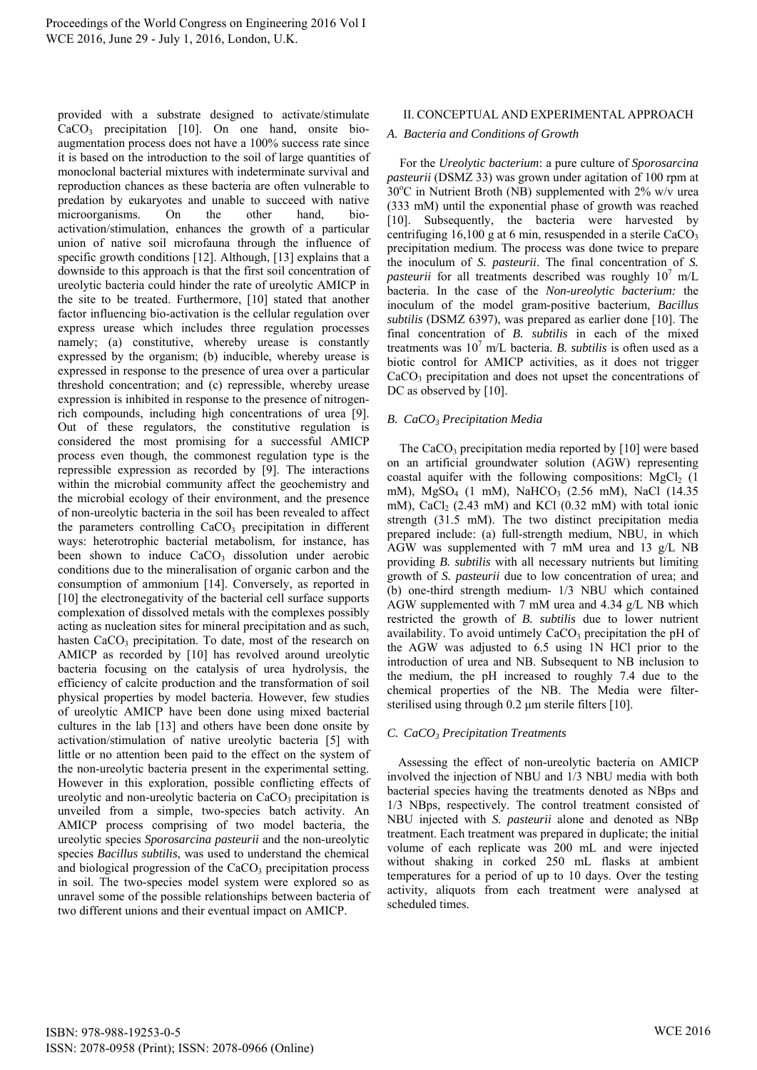provided with a substrate designed to activate/stimulate CaCO3 precipitation [10]. On one hand, onsite bioaugmentation process does not have a 100% success rate since it is based on the introduction to the soil of large quantities of monoclonal bacterial mixtures with indeterminate survival and reproduction chances as these bacteria are often vulnerable to predation by eukaryotes and unable to succeed with native microorganisms. On the other hand, bioactivation/stimulation, enhances the growth of a particular union of native soil microfauna through the influence of specific growth conditions [12]. Although, [13] explains that a downside to this approach is that the first soil concentration of ureolytic bacteria could hinder the rate of ureolytic AMICP in the site to be treated. Furthermore, [10] stated that another factor influencing bio-activation is the cellular regulation over express urease which includes three regulation processes namely; (a) constitutive, whereby urease is constantly expressed by the organism; (b) inducible, whereby urease is expressed in response to the presence of urea over a particular threshold concentration; and (c) repressible, whereby urease expression is inhibited in response to the presence of nitrogenrich compounds, including high concentrations of urea [9]. Out of these regulators, the constitutive regulation is considered the most promising for a successful AMICP process even though, the commonest regulation type is the repressible expression as recorded by [9]. The interactions within the microbial community affect the geochemistry and the microbial ecology of their environment, and the presence of non-ureolytic bacteria in the soil has been revealed to affect the parameters controlling  $CaCO<sub>3</sub>$  precipitation in different ways: heterotrophic bacterial metabolism, for instance, has been shown to induce  $CaCO<sub>3</sub>$  dissolution under aerobic conditions due to the mineralisation of organic carbon and the consumption of ammonium [14]. Conversely, as reported in [10] the electronegativity of the bacterial cell surface supports complexation of dissolved metals with the complexes possibly acting as nucleation sites for mineral precipitation and as such, hasten  $CaCO<sub>3</sub>$  precipitation. To date, most of the research on AMICP as recorded by [10] has revolved around ureolytic bacteria focusing on the catalysis of urea hydrolysis, the efficiency of calcite production and the transformation of soil physical properties by model bacteria. However, few studies of ureolytic AMICP have been done using mixed bacterial cultures in the lab [13] and others have been done onsite by activation/stimulation of native ureolytic bacteria [5] with little or no attention been paid to the effect on the system of the non-ureolytic bacteria present in the experimental setting. However in this exploration, possible conflicting effects of ureolytic and non-ureolytic bacteria on  $CaCO<sub>3</sub>$  precipitation is unveiled from a simple, two-species batch activity. An AMICP process comprising of two model bacteria, the ureolytic species *Sporosarcina pasteurii* and the non-ureolytic species *Bacillus subtilis*, was used to understand the chemical and biological progression of the  $CaCO<sub>3</sub>$  precipitation process in soil. The two-species model system were explored so as unravel some of the possible relationships between bacteria of two different unions and their eventual impact on AMICP.

## II. CONCEPTUAL AND EXPERIMENTAL APPROACH

## *A. Bacteria and Conditions of Growth*

For the *Ureolytic bacterium*: a pure culture of *Sporosarcina pasteurii* (DSMZ 33) was grown under agitation of 100 rpm at  $30^{\circ}$ C in Nutrient Broth (NB) supplemented with 2% w/v urea (333 mM) until the exponential phase of growth was reached [10]. Subsequently, the bacteria were harvested by centrifuging 16,100 g at 6 min, resuspended in a sterile  $CaCO<sub>3</sub>$ precipitation medium. The process was done twice to prepare the inoculum of *S. pasteurii*. The final concentration of *S. pasteurii* for all treatments described was roughly  $10^7$  m/L bacteria. In the case of the *Non-ureolytic bacterium:* the inoculum of the model gram-positive bacterium, *Bacillus subtilis* (DSMZ 6397), was prepared as earlier done [10]. The final concentration of *B. subtilis* in each of the mixed treatments was  $10^7$  m/L bacteria. *B. subtilis* is often used as a biotic control for AMICP activities, as it does not trigger CaCO<sub>3</sub> precipitation and does not upset the concentrations of DC as observed by [10].

## *B. CaCO3 Precipitation Media*

The  $CaCO<sub>3</sub>$  precipitation media reported by [10] were based on an artificial groundwater solution (AGW) representing coastal aquifer with the following compositions:  $MgCl<sub>2</sub>$  (1) mM), MgSO<sub>4</sub> (1 mM), NaHCO<sub>3</sub> (2.56 mM), NaCl (14.35 mM), CaCl<sub>2</sub> (2.43 mM) and KCl (0.32 mM) with total ionic strength (31.5 mM). The two distinct precipitation media prepared include: (a) full-strength medium, NBU, in which AGW was supplemented with 7 mM urea and 13 g/L NB providing *B. subtilis* with all necessary nutrients but limiting growth of *S. pasteurii* due to low concentration of urea; and (b) one-third strength medium- 1/3 NBU which contained AGW supplemented with 7 mM urea and 4.34 g/L NB which restricted the growth of *B. subtilis* due to lower nutrient availability. To avoid untimely  $CaCO<sub>3</sub>$  precipitation the pH of the AGW was adjusted to 6.5 using 1N HCl prior to the introduction of urea and NB. Subsequent to NB inclusion to the medium, the pH increased to roughly 7.4 due to the chemical properties of the NB. The Media were filtersterilised using through 0.2 μm sterile filters [10].

## *C. CaCO3 Precipitation Treatments*

Assessing the effect of non-ureolytic bacteria on AMICP involved the injection of NBU and 1/3 NBU media with both bacterial species having the treatments denoted as NBps and 1/3 NBps, respectively. The control treatment consisted of NBU injected with *S. pasteurii* alone and denoted as NBp treatment. Each treatment was prepared in duplicate; the initial volume of each replicate was 200 mL and were injected without shaking in corked 250 mL flasks at ambient temperatures for a period of up to 10 days. Over the testing activity, aliquots from each treatment were analysed at scheduled times.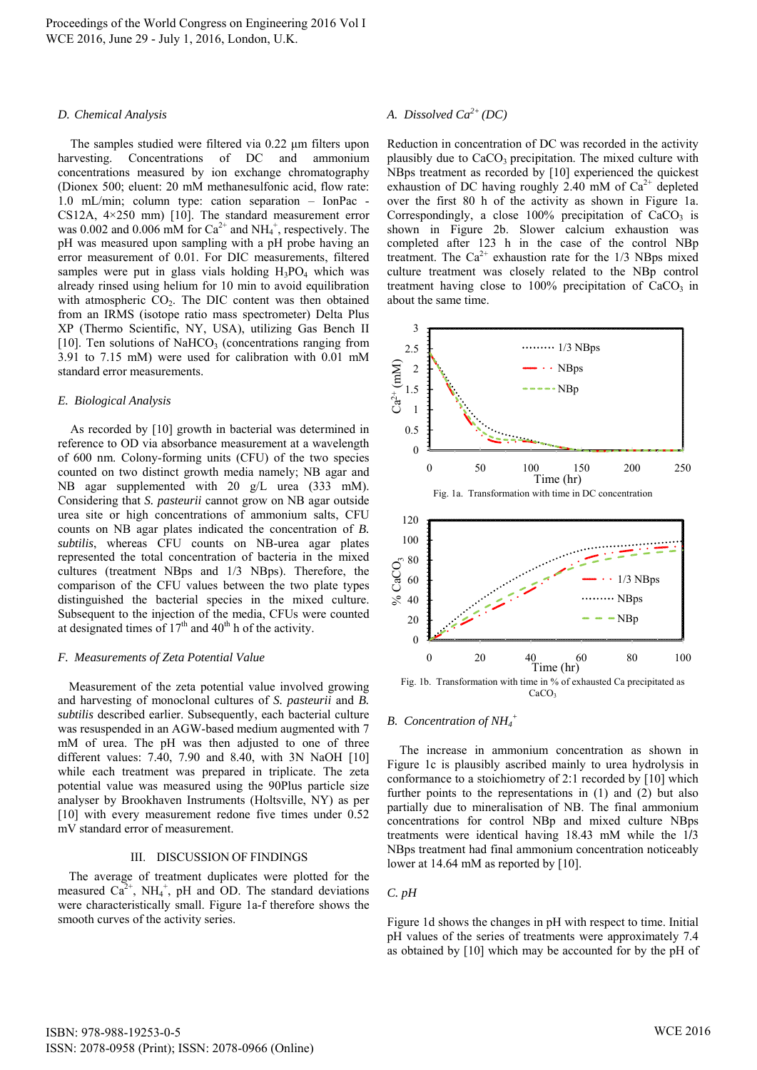## *D. Chemical Analysis*

The samples studied were filtered via 0.22 μm filters upon harvesting. Concentrations of DC and ammonium concentrations measured by ion exchange chromatography (Dionex 500; eluent: 20 mM methanesulfonic acid, flow rate: 1.0 mL/min; column type: cation separation – IonPac - CS12A, 4×250 mm) [10]. The standard measurement error was 0.002 and 0.006 mM for  $Ca^{2+}$  and  $NH_4^+$ , respectively. The pH was measured upon sampling with a pH probe having an error measurement of 0.01. For DIC measurements, filtered samples were put in glass vials holding  $H_3PO_4$  which was already rinsed using helium for 10 min to avoid equilibration with atmospheric  $CO<sub>2</sub>$ . The DIC content was then obtained from an IRMS (isotope ratio mass spectrometer) Delta Plus XP (Thermo Scientific, NY, USA), utilizing Gas Bench II [10]. Ten solutions of NaHCO<sub>3</sub> (concentrations ranging from 3.91 to 7.15 mM) were used for calibration with 0.01 mM standard error measurements.

## *E. Biological Analysis*

As recorded by [10] growth in bacterial was determined in reference to OD via absorbance measurement at a wavelength of 600 nm. Colony-forming units (CFU) of the two species counted on two distinct growth media namely; NB agar and NB agar supplemented with 20 g/L urea (333 mM). Considering that *S. pasteurii* cannot grow on NB agar outside urea site or high concentrations of ammonium salts, CFU counts on NB agar plates indicated the concentration of *B. subtilis*, whereas CFU counts on NB-urea agar plates represented the total concentration of bacteria in the mixed cultures (treatment NBps and 1/3 NBps). Therefore, the comparison of the CFU values between the two plate types distinguished the bacterial species in the mixed culture. Subsequent to the injection of the media, CFUs were counted at designated times of  $17<sup>th</sup>$  and  $40<sup>th</sup>$  h of the activity.

## *F. Measurements of Zeta Potential Value*

Measurement of the zeta potential value involved growing and harvesting of monoclonal cultures of *S. pasteurii* and *B. subtilis* described earlier. Subsequently, each bacterial culture was resuspended in an AGW-based medium augmented with 7 mM of urea. The pH was then adjusted to one of three different values: 7.40, 7.90 and 8.40, with 3N NaOH [10] while each treatment was prepared in triplicate. The zeta potential value was measured using the 90Plus particle size analyser by Brookhaven Instruments (Holtsville, NY) as per [10] with every measurement redone five times under  $0.52$ mV standard error of measurement.

## III. DISCUSSION OF FINDINGS

The average of treatment duplicates were plotted for the measured  $Ca^{2+}$ , NH<sub>4</sub><sup>+</sup>, pH and OD. The standard deviations were characteristically small. Figure 1a-f therefore shows the smooth curves of the activity series.

# *A. Dissolved Ca2+ (DC)*

Reduction in concentration of DC was recorded in the activity plausibly due to CaCO<sub>3</sub> precipitation. The mixed culture with NBps treatment as recorded by [10] experienced the quickest exhaustion of DC having roughly 2.40 mM of  $Ca^{2+}$  depleted over the first 80 h of the activity as shown in Figure 1a. Correspondingly, a close  $100\%$  precipitation of CaCO<sub>3</sub> is shown in Figure 2b. Slower calcium exhaustion was completed after 123 h in the case of the control NBp treatment. The  $Ca^{2+}$  exhaustion rate for the 1/3 NBps mixed culture treatment was closely related to the NBp control treatment having close to  $100\%$  precipitation of  $CaCO<sub>3</sub>$  in about the same time.



# *B. Concentration of NH4 +*

The increase in ammonium concentration as shown in Figure 1c is plausibly ascribed mainly to urea hydrolysis in conformance to a stoichiometry of 2:1 recorded by [10] which further points to the representations in (1) and (2) but also partially due to mineralisation of NB. The final ammonium concentrations for control NBp and mixed culture NBps treatments were identical having 18.43 mM while the 1/3 NBps treatment had final ammonium concentration noticeably lower at 14.64 mM as reported by [10].

## *C. pH*

Figure 1d shows the changes in pH with respect to time. Initial pH values of the series of treatments were approximately 7.4 as obtained by [10] which may be accounted for by the pH of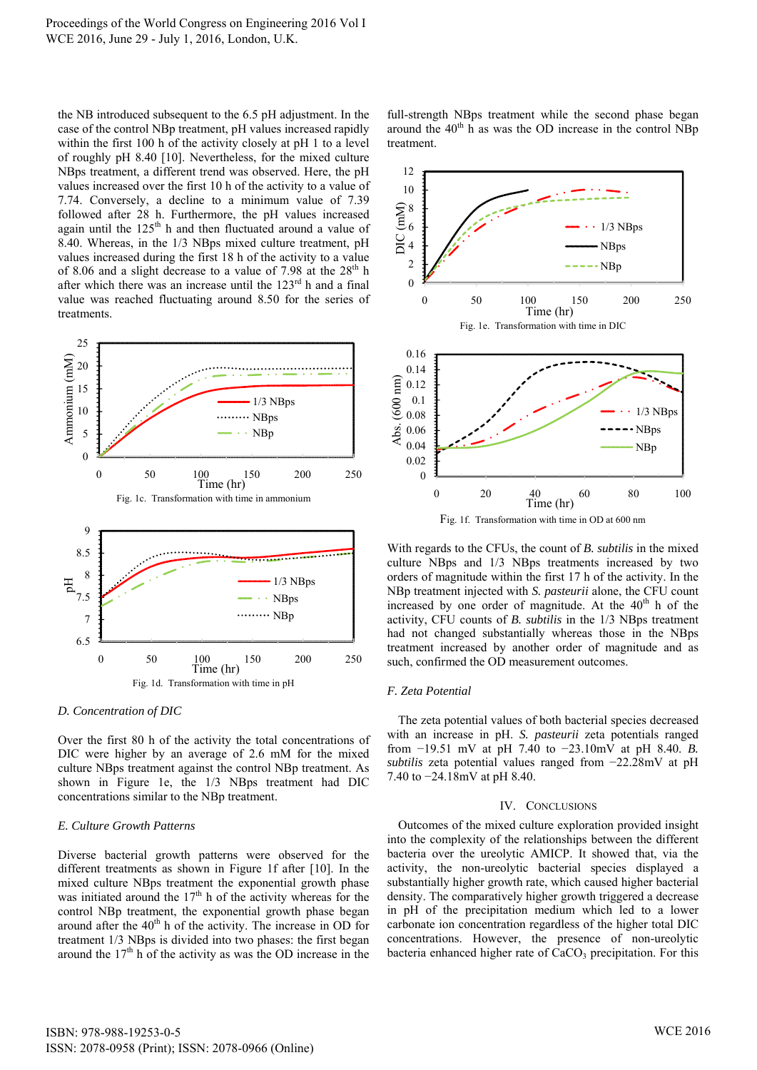Proceedings of the World Congress on Engineering 2016 Vol I WCE 2016, June 29 - July 1, 2016, London, U.K.

the NB introduced subsequent to the 6.5 pH adjustment. In the case of the control NBp treatment, pH values increased rapidly within the first 100 h of the activity closely at pH 1 to a level of roughly pH 8.40 [10]. Nevertheless, for the mixed culture NBps treatment, a different trend was observed. Here, the pH values increased over the first 10 h of the activity to a value of 7.74. Conversely, a decline to a minimum value of 7.39 followed after 28 h. Furthermore, the pH values increased again until the  $125<sup>th</sup>$  h and then fluctuated around a value of 8.40. Whereas, in the 1/3 NBps mixed culture treatment, pH values increased during the first 18 h of the activity to a value of 8.06 and a slight decrease to a value of 7.98 at the  $28<sup>th</sup>$  h after which there was an increase until the  $123<sup>rd</sup>$  h and a final value was reached fluctuating around 8.50 for the series of treatments.



## *D. Concentration of DIC*

Over the first 80 h of the activity the total concentrations of DIC were higher by an average of 2.6 mM for the mixed culture NBps treatment against the control NBp treatment. As shown in Figure 1e, the 1/3 NBps treatment had DIC concentrations similar to the NBp treatment.

## *E. Culture Growth Patterns*

Diverse bacterial growth patterns were observed for the different treatments as shown in Figure 1f after [10]. In the mixed culture NBps treatment the exponential growth phase was initiated around the  $17<sup>th</sup>$  h of the activity whereas for the control NBp treatment, the exponential growth phase began around after the  $40<sup>th</sup>$  h of the activity. The increase in OD for treatment 1/3 NBps is divided into two phases: the first began around the  $17<sup>th</sup>$  h of the activity as was the OD increase in the full-strength NBps treatment while the second phase began around the  $40<sup>th</sup>$  h as was the OD increase in the control NBp treatment.



With regards to the CFUs, the count of *B. subtilis* in the mixed culture NBps and 1/3 NBps treatments increased by two orders of magnitude within the first 17 h of the activity. In the NBp treatment injected with *S. pasteurii* alone, the CFU count increased by one order of magnitude. At the  $40<sup>th</sup>$  h of the activity, CFU counts of *B. subtilis* in the 1/3 NBps treatment had not changed substantially whereas those in the NBps treatment increased by another order of magnitude and as such, confirmed the OD measurement outcomes.

### *F. Zeta Potential*

The zeta potential values of both bacterial species decreased with an increase in pH. *S. pasteurii* zeta potentials ranged from −19.51 mV at pH 7.40 to −23.10mV at pH 8.40. *B. subtilis* zeta potential values ranged from −22.28mV at pH 7.40 to −24.18mV at pH 8.40.

### IV. CONCLUSIONS

Outcomes of the mixed culture exploration provided insight into the complexity of the relationships between the different bacteria over the ureolytic AMICP. It showed that, via the activity, the non-ureolytic bacterial species displayed a substantially higher growth rate, which caused higher bacterial density. The comparatively higher growth triggered a decrease in pH of the precipitation medium which led to a lower carbonate ion concentration regardless of the higher total DIC concentrations. However, the presence of non-ureolytic bacteria enhanced higher rate of CaCO<sub>3</sub> precipitation. For this